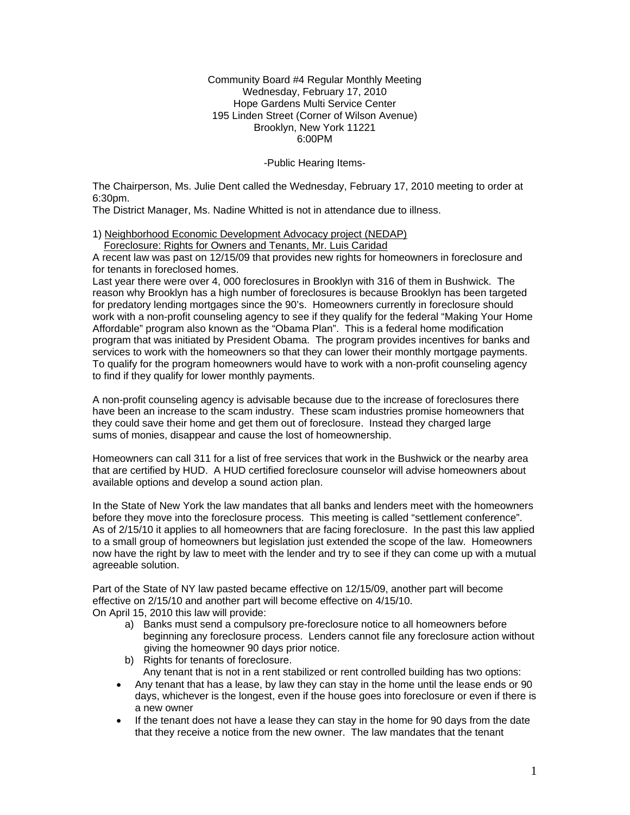Community Board #4 Regular Monthly Meeting Wednesday, February 17, 2010 Hope Gardens Multi Service Center 195 Linden Street (Corner of Wilson Avenue) Brooklyn, New York 11221 6:00PM

-Public Hearing Items-

The Chairperson, Ms. Julie Dent called the Wednesday, February 17, 2010 meeting to order at 6:30pm.

The District Manager, Ms. Nadine Whitted is not in attendance due to illness.

1) Neighborhood Economic Development Advocacy project (NEDAP)

Foreclosure: Rights for Owners and Tenants, Mr. Luis Caridad

A recent law was past on 12/15/09 that provides new rights for homeowners in foreclosure and for tenants in foreclosed homes.

Last year there were over 4, 000 foreclosures in Brooklyn with 316 of them in Bushwick. The reason why Brooklyn has a high number of foreclosures is because Brooklyn has been targeted for predatory lending mortgages since the 90's. Homeowners currently in foreclosure should work with a non-profit counseling agency to see if they qualify for the federal "Making Your Home Affordable" program also known as the "Obama Plan". This is a federal home modification program that was initiated by President Obama. The program provides incentives for banks and services to work with the homeowners so that they can lower their monthly mortgage payments. To qualify for the program homeowners would have to work with a non-profit counseling agency to find if they qualify for lower monthly payments.

A non-profit counseling agency is advisable because due to the increase of foreclosures there have been an increase to the scam industry. These scam industries promise homeowners that they could save their home and get them out of foreclosure. Instead they charged large sums of monies, disappear and cause the lost of homeownership.

Homeowners can call 311 for a list of free services that work in the Bushwick or the nearby area that are certified by HUD. A HUD certified foreclosure counselor will advise homeowners about available options and develop a sound action plan.

In the State of New York the law mandates that all banks and lenders meet with the homeowners before they move into the foreclosure process. This meeting is called "settlement conference". As of 2/15/10 it applies to all homeowners that are facing foreclosure. In the past this law applied to a small group of homeowners but legislation just extended the scope of the law. Homeowners now have the right by law to meet with the lender and try to see if they can come up with a mutual agreeable solution.

Part of the State of NY law pasted became effective on 12/15/09, another part will become effective on 2/15/10 and another part will become effective on 4/15/10. On April 15, 2010 this law will provide:

- a) Banks must send a compulsory pre-foreclosure notice to all homeowners before beginning any foreclosure process. Lenders cannot file any foreclosure action without giving the homeowner 90 days prior notice.
- b) Rights for tenants of foreclosure. Any tenant that is not in a rent stabilized or rent controlled building has two options:
- Any tenant that has a lease, by law they can stay in the home until the lease ends or 90 days, whichever is the longest, even if the house goes into foreclosure or even if there is a new owner
- If the tenant does not have a lease they can stay in the home for 90 days from the date that they receive a notice from the new owner. The law mandates that the tenant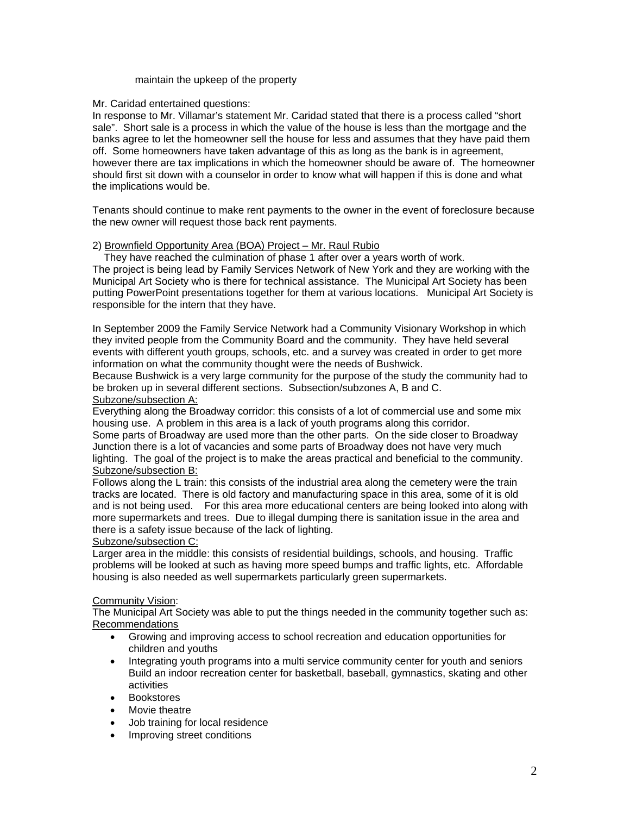#### maintain the upkeep of the property

#### Mr. Caridad entertained questions:

In response to Mr. Villamar's statement Mr. Caridad stated that there is a process called "short sale". Short sale is a process in which the value of the house is less than the mortgage and the banks agree to let the homeowner sell the house for less and assumes that they have paid them off. Some homeowners have taken advantage of this as long as the bank is in agreement, however there are tax implications in which the homeowner should be aware of. The homeowner should first sit down with a counselor in order to know what will happen if this is done and what the implications would be.

Tenants should continue to make rent payments to the owner in the event of foreclosure because the new owner will request those back rent payments.

### 2) Brownfield Opportunity Area (BOA) Project – Mr. Raul Rubio

 They have reached the culmination of phase 1 after over a years worth of work. The project is being lead by Family Services Network of New York and they are working with the Municipal Art Society who is there for technical assistance. The Municipal Art Society has been putting PowerPoint presentations together for them at various locations. Municipal Art Society is responsible for the intern that they have.

In September 2009 the Family Service Network had a Community Visionary Workshop in which they invited people from the Community Board and the community. They have held several events with different youth groups, schools, etc. and a survey was created in order to get more information on what the community thought were the needs of Bushwick.

Because Bushwick is a very large community for the purpose of the study the community had to be broken up in several different sections. Subsection/subzones A, B and C.

# Subzone/subsection A:

Everything along the Broadway corridor: this consists of a lot of commercial use and some mix housing use. A problem in this area is a lack of youth programs along this corridor. Some parts of Broadway are used more than the other parts. On the side closer to Broadway Junction there is a lot of vacancies and some parts of Broadway does not have very much lighting. The goal of the project is to make the areas practical and beneficial to the community. Subzone/subsection B:

Follows along the L train: this consists of the industrial area along the cemetery were the train tracks are located. There is old factory and manufacturing space in this area, some of it is old and is not being used. For this area more educational centers are being looked into along with more supermarkets and trees. Due to illegal dumping there is sanitation issue in the area and there is a safety issue because of the lack of lighting.

#### Subzone/subsection C:

Larger area in the middle: this consists of residential buildings, schools, and housing. Traffic problems will be looked at such as having more speed bumps and traffic lights, etc. Affordable housing is also needed as well supermarkets particularly green supermarkets.

#### Community Vision:

The Municipal Art Society was able to put the things needed in the community together such as: Recommendations

- Growing and improving access to school recreation and education opportunities for children and youths
- Integrating youth programs into a multi service community center for youth and seniors Build an indoor recreation center for basketball, baseball, gymnastics, skating and other activities
- Bookstores
- Movie theatre
- Job training for local residence
- Improving street conditions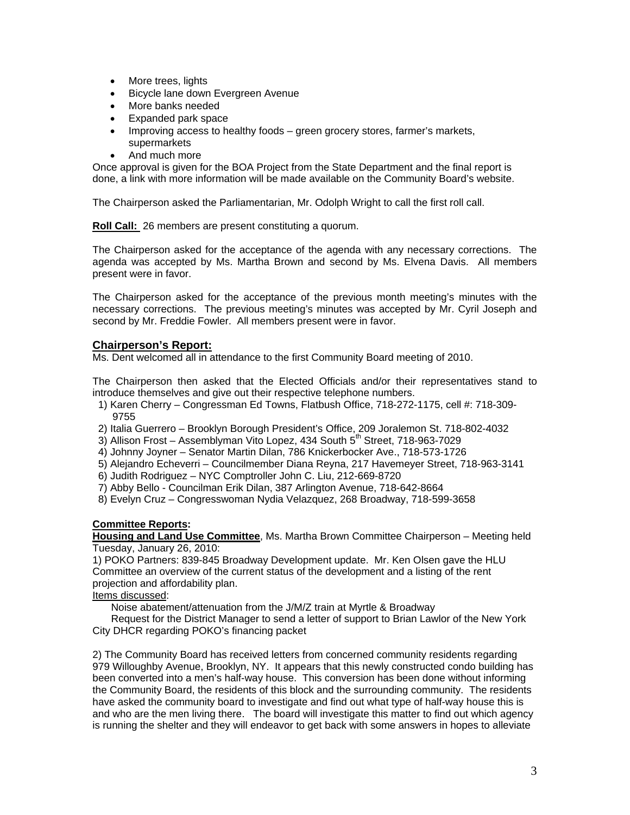- More trees, lights
- Bicycle lane down Evergreen Avenue
- More banks needed
- Expanded park space
- Improving access to healthy foods green grocery stores, farmer's markets, supermarkets
- And much more

Once approval is given for the BOA Project from the State Department and the final report is done, a link with more information will be made available on the Community Board's website.

The Chairperson asked the Parliamentarian, Mr. Odolph Wright to call the first roll call.

**Roll Call:** 26 members are present constituting a quorum.

The Chairperson asked for the acceptance of the agenda with any necessary corrections. The agenda was accepted by Ms. Martha Brown and second by Ms. Elvena Davis. All members present were in favor.

The Chairperson asked for the acceptance of the previous month meeting's minutes with the necessary corrections. The previous meeting's minutes was accepted by Mr. Cyril Joseph and second by Mr. Freddie Fowler. All members present were in favor.

## **Chairperson's Report:**

Ms. Dent welcomed all in attendance to the first Community Board meeting of 2010.

The Chairperson then asked that the Elected Officials and/or their representatives stand to introduce themselves and give out their respective telephone numbers.

- 1) Karen Cherry Congressman Ed Towns, Flatbush Office, 718-272-1175, cell #: 718-309- 9755
- 2) Italia Guerrero Brooklyn Borough President's Office, 209 Joralemon St. 718-802-4032
- 3) Allison Frost Assemblyman Vito Lopez, 434 South 5<sup>th</sup> Street, 718-963-7029
- 4) Johnny Joyner Senator Martin Dilan, 786 Knickerbocker Ave., 718-573-1726
- 5) Alejandro Echeverri Councilmember Diana Reyna, 217 Havemeyer Street, 718-963-3141
- 6) Judith Rodriguez NYC Comptroller John C. Liu, 212-669-8720
- 7) Abby Bello Councilman Erik Dilan, 387 Arlington Avenue, 718-642-8664
- 8) Evelyn Cruz Congresswoman Nydia Velazquez, 268 Broadway, 718-599-3658

#### **Committee Reports:**

**Housing and Land Use Committee**, Ms. Martha Brown Committee Chairperson – Meeting held Tuesday, January 26, 2010:

1) POKO Partners: 839-845 Broadway Development update. Mr. Ken Olsen gave the HLU Committee an overview of the current status of the development and a listing of the rent projection and affordability plan.

Items discussed:

Noise abatement/attenuation from the J/M/Z train at Myrtle & Broadway

 Request for the District Manager to send a letter of support to Brian Lawlor of the New York City DHCR regarding POKO's financing packet

2) The Community Board has received letters from concerned community residents regarding 979 Willoughby Avenue, Brooklyn, NY. It appears that this newly constructed condo building has been converted into a men's half-way house. This conversion has been done without informing the Community Board, the residents of this block and the surrounding community. The residents have asked the community board to investigate and find out what type of half-way house this is and who are the men living there. The board will investigate this matter to find out which agency is running the shelter and they will endeavor to get back with some answers in hopes to alleviate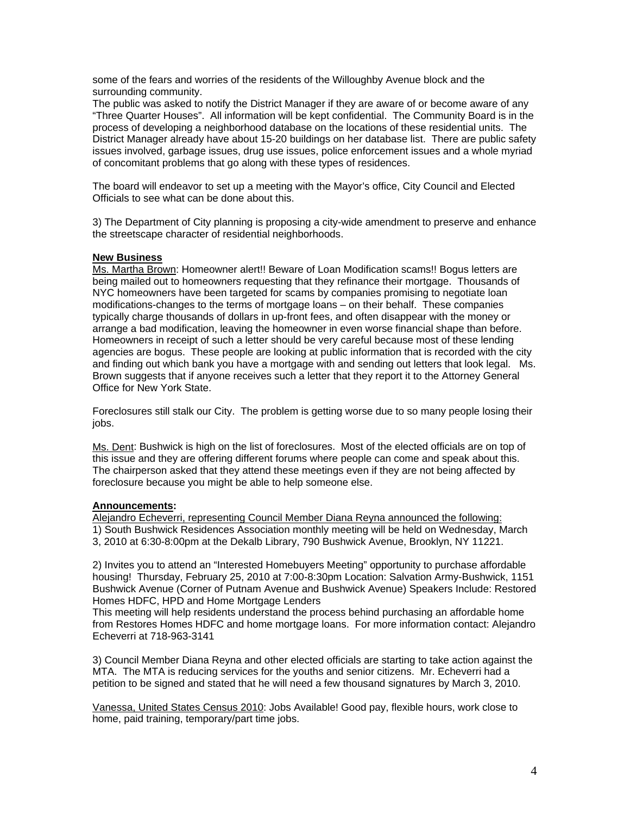some of the fears and worries of the residents of the Willoughby Avenue block and the surrounding community.

The public was asked to notify the District Manager if they are aware of or become aware of any "Three Quarter Houses". All information will be kept confidential. The Community Board is in the process of developing a neighborhood database on the locations of these residential units. The District Manager already have about 15-20 buildings on her database list. There are public safety issues involved, garbage issues, drug use issues, police enforcement issues and a whole myriad of concomitant problems that go along with these types of residences.

The board will endeavor to set up a meeting with the Mayor's office, City Council and Elected Officials to see what can be done about this.

3) The Department of City planning is proposing a city-wide amendment to preserve and enhance the streetscape character of residential neighborhoods.

#### **New Business**

Ms. Martha Brown: Homeowner alert!! Beware of Loan Modification scams!! Bogus letters are being mailed out to homeowners requesting that they refinance their mortgage. Thousands of NYC homeowners have been targeted for scams by companies promising to negotiate loan modifications-changes to the terms of mortgage loans – on their behalf. These companies typically charge thousands of dollars in up-front fees, and often disappear with the money or arrange a bad modification, leaving the homeowner in even worse financial shape than before. Homeowners in receipt of such a letter should be very careful because most of these lending agencies are bogus. These people are looking at public information that is recorded with the city and finding out which bank you have a mortgage with and sending out letters that look legal. Ms. Brown suggests that if anyone receives such a letter that they report it to the Attorney General Office for New York State.

Foreclosures still stalk our City. The problem is getting worse due to so many people losing their iobs.

Ms. Dent: Bushwick is high on the list of foreclosures. Most of the elected officials are on top of this issue and they are offering different forums where people can come and speak about this. The chairperson asked that they attend these meetings even if they are not being affected by foreclosure because you might be able to help someone else.

#### **Announcements:**

Alejandro Echeverri, representing Council Member Diana Reyna announced the following: 1) South Bushwick Residences Association monthly meeting will be held on Wednesday, March 3, 2010 at 6:30-8:00pm at the Dekalb Library, 790 Bushwick Avenue, Brooklyn, NY 11221.

2) Invites you to attend an "Interested Homebuyers Meeting" opportunity to purchase affordable housing! Thursday, February 25, 2010 at 7:00-8:30pm Location: Salvation Army-Bushwick, 1151 Bushwick Avenue (Corner of Putnam Avenue and Bushwick Avenue) Speakers Include: Restored Homes HDFC, HPD and Home Mortgage Lenders

This meeting will help residents understand the process behind purchasing an affordable home from Restores Homes HDFC and home mortgage loans. For more information contact: Alejandro Echeverri at 718-963-3141

3) Council Member Diana Reyna and other elected officials are starting to take action against the MTA. The MTA is reducing services for the youths and senior citizens. Mr. Echeverri had a petition to be signed and stated that he will need a few thousand signatures by March 3, 2010.

Vanessa, United States Census 2010: Jobs Available! Good pay, flexible hours, work close to home, paid training, temporary/part time jobs.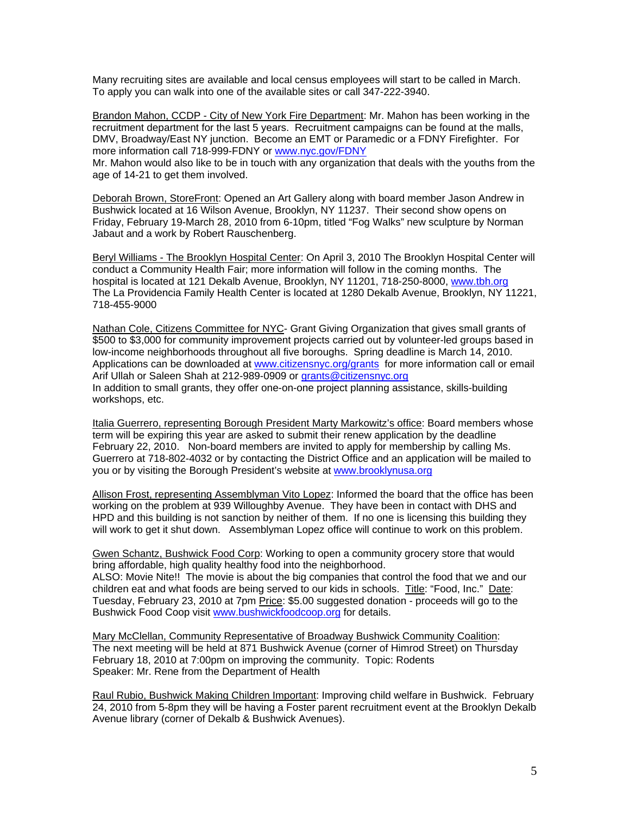Many recruiting sites are available and local census employees will start to be called in March. To apply you can walk into one of the available sites or call 347-222-3940.

Brandon Mahon, CCDP - City of New York Fire Department: Mr. Mahon has been working in the recruitment department for the last 5 years. Recruitment campaigns can be found at the malls, DMV, Broadway/East NY junction. Become an EMT or Paramedic or a FDNY Firefighter. For more information call 718-999-FDNY or [www.nyc.gov/FDNY](http://www.nyc.gov/FDNY)

Mr. Mahon would also like to be in touch with any organization that deals with the youths from the age of 14-21 to get them involved.

Deborah Brown, StoreFront: Opened an Art Gallery along with board member Jason Andrew in Bushwick located at 16 Wilson Avenue, Brooklyn, NY 11237. Their second show opens on Friday, February 19-March 28, 2010 from 6-10pm, titled "Fog Walks" new sculpture by Norman Jabaut and a work by Robert Rauschenberg.

Beryl Williams - The Brooklyn Hospital Center: On April 3, 2010 The Brooklyn Hospital Center will conduct a Community Health Fair; more information will follow in the coming months. The hospital is located at 121 Dekalb Avenue, Brooklyn, NY 11201, 718-250-8000, [www.tbh.org](http://www.tbh.org/) The La Providencia Family Health Center is located at 1280 Dekalb Avenue, Brooklyn, NY 11221, 718-455-9000

Nathan Cole, Citizens Committee for NYC- Grant Giving Organization that gives small grants of \$500 to \$3,000 for community improvement projects carried out by volunteer-led groups based in low-income neighborhoods throughout all five boroughs. Spring deadline is March 14, 2010. Applications can be downloaded at [www.citizensnyc.org/grants](http://www.citizensnyc.org/grants) for more information call or email Arif Ullah or Saleen Shah at 212-989-0909 or [grants@citizensnyc.org](mailto:grants@citizensnyc.org)  In addition to small grants, they offer one-on-one project planning assistance, skills-building workshops, etc.

Italia Guerrero, representing Borough President Marty Markowitz's office: Board members whose term will be expiring this year are asked to submit their renew application by the deadline February 22, 2010. Non-board members are invited to apply for membership by calling Ms. Guerrero at 718-802-4032 or by contacting the District Office and an application will be mailed to you or by visiting the Borough President's website at [www.brooklynusa.org](http://www.brooklynusa.org/)

Allison Frost, representing Assemblyman Vito Lopez: Informed the board that the office has been working on the problem at 939 Willoughby Avenue. They have been in contact with DHS and HPD and this building is not sanction by neither of them. If no one is licensing this building they will work to get it shut down. Assemblyman Lopez office will continue to work on this problem.

Gwen Schantz, Bushwick Food Corp: Working to open a community grocery store that would bring affordable, high quality healthy food into the neighborhood.

ALSO: Movie Nite!! The movie is about the big companies that control the food that we and our children eat and what foods are being served to our kids in schools. Title: "Food, Inc." Date: Tuesday, February 23, 2010 at 7pm Price: \$5.00 suggested donation - proceeds will go to the Bushwick Food Coop visit [www.bushwickfoodcoop.org](http://www.bushwickfoodcoop.org/) for details.

Mary McClellan, Community Representative of Broadway Bushwick Community Coalition: The next meeting will be held at 871 Bushwick Avenue (corner of Himrod Street) on Thursday February 18, 2010 at 7:00pm on improving the community. Topic: Rodents Speaker: Mr. Rene from the Department of Health

Raul Rubio, Bushwick Making Children Important: Improving child welfare in Bushwick. February 24, 2010 from 5-8pm they will be having a Foster parent recruitment event at the Brooklyn Dekalb Avenue library (corner of Dekalb & Bushwick Avenues).